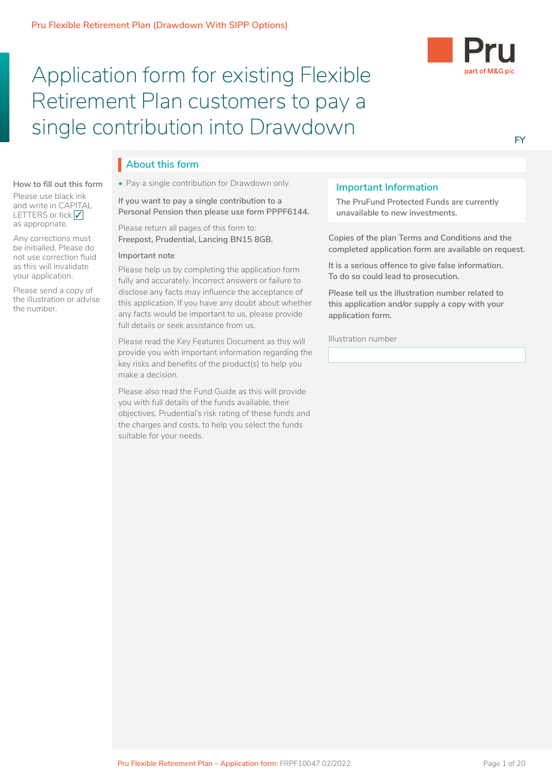# Application form for existing Flexible Retirement Plan customers to pay a single contribution into Drawdown



### **FY**

# **About this form** I

• Pay a single contribution for Drawdown only.

If you want to pay a single contribution to a Personal Pension then please use form PPPF6144.

Please return all pages of this form to: **Freepost, Prudential, Lancing BN15 8GB.** 

### **Important note**

**How to fill out this form** Please use black ink and write in CAPITAL LETTERS or tick  $\sqrt{}$ as appropriate.

Any corrections must be initialled. Please do not use correction fluid as this will invalidate your application. Please send a copy of the illustration or advise

the number.

fully and accurately. Incorrect answers or failure to **To do so could lead to prosecution.** disclose any facts may influence the acceptance of **please tell** Please help us by completing the application form this application. If you have any doubt about whether any facts would be important to us, please provide full details or seek assistance from us.

Please read the Key Features Document as this will provide you with important information regarding the key risks and benefits of the product(s) to help you make a decision.

Please also read the Fund Guide as this will provide you with full details of the funds available, their objectives, Prudential's risk rating of these funds and the charges and costs, to help you select the funds suitable for your needs.

### **Important Information**

**The PruFund Protected Funds are currently** unavailable to new investments.

**Copies of the plan Terms and Conditions and the completed application form are available on request.**

**It is a serious offence to give false information. To do so could lead to prosecution.**

**Please tell us the illustration number related to this application and/or supply a copy with your application form.**

Illustration number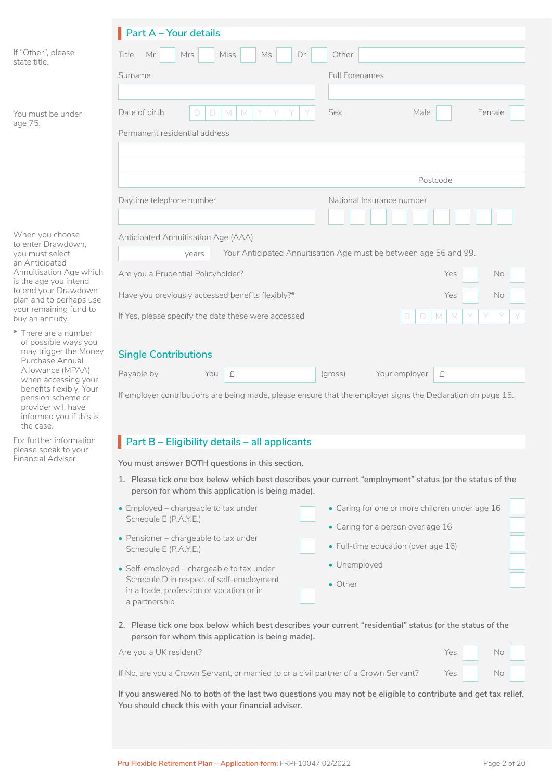|                                                                                                            | <b>Part A - Your details</b>                                                                          |                                                                                                                                                                                                                                                                                                                                                                                                                                                                                                        |
|------------------------------------------------------------------------------------------------------------|-------------------------------------------------------------------------------------------------------|--------------------------------------------------------------------------------------------------------------------------------------------------------------------------------------------------------------------------------------------------------------------------------------------------------------------------------------------------------------------------------------------------------------------------------------------------------------------------------------------------------|
| If "Other", please<br>state title.                                                                         | Mr<br>Miss<br>Title<br>Mrs<br>Ms<br>Dr                                                                | Other                                                                                                                                                                                                                                                                                                                                                                                                                                                                                                  |
|                                                                                                            | Surname                                                                                               | <b>Full Forenames</b>                                                                                                                                                                                                                                                                                                                                                                                                                                                                                  |
|                                                                                                            |                                                                                                       |                                                                                                                                                                                                                                                                                                                                                                                                                                                                                                        |
| You must be under<br>age 75.                                                                               | Date of birth<br>M<br>M<br>D<br>$\Box$                                                                | <b>Sex</b><br>Male<br>Female                                                                                                                                                                                                                                                                                                                                                                                                                                                                           |
|                                                                                                            | Permanent residential address                                                                         |                                                                                                                                                                                                                                                                                                                                                                                                                                                                                                        |
|                                                                                                            |                                                                                                       |                                                                                                                                                                                                                                                                                                                                                                                                                                                                                                        |
|                                                                                                            |                                                                                                       | Postcode                                                                                                                                                                                                                                                                                                                                                                                                                                                                                               |
|                                                                                                            | Daytime telephone number                                                                              | National Insurance number                                                                                                                                                                                                                                                                                                                                                                                                                                                                              |
|                                                                                                            |                                                                                                       |                                                                                                                                                                                                                                                                                                                                                                                                                                                                                                        |
| When you choose<br>to enter Drawdown,                                                                      | Anticipated Annuitisation Age (AAA)                                                                   |                                                                                                                                                                                                                                                                                                                                                                                                                                                                                                        |
| you must select<br>an Anticipated                                                                          | years                                                                                                 | Your Anticipated Annuitisation Age must be between age 56 and 99.                                                                                                                                                                                                                                                                                                                                                                                                                                      |
| Annuitisation Age which<br>is the age you intend                                                           | Are you a Prudential Policyholder?                                                                    | Yes<br>No                                                                                                                                                                                                                                                                                                                                                                                                                                                                                              |
| to end your Drawdown<br>plan and to perhaps use                                                            | Have you previously accessed benefits flexibly?*                                                      | Yes<br>No                                                                                                                                                                                                                                                                                                                                                                                                                                                                                              |
| your remaining fund to<br>buy an annuity.                                                                  | If Yes, please specify the date these were accessed                                                   | $\mathsf{M}% _{0}\left( \mathcal{M}_{0}\right) ^{1}\left( \mathcal{M}_{0}\right) ^{1}\left( \mathcal{M}_{0}\right) ^{1}\left( \mathcal{M}_{0}\right) ^{1}\left( \mathcal{M}_{0}\right) ^{1}\left( \mathcal{M}_{0}\right) ^{1}\left( \mathcal{M}_{0}\right) ^{1}\left( \mathcal{M}_{0}\right) ^{1}\left( \mathcal{M}_{0}\right) ^{1}\left( \mathcal{M}_{0}\right) ^{1}\left( \mathcal{M}_{0}\right) ^{1}\left( \mathcal{M}_{0}\right) ^{1}\left( \mathcal{M}_{0}\right) ^{1}\left($<br>$\Box$<br>D<br>M |
| * There are a number<br>of possible ways you<br>may trigger the Money<br>Purchase Annual                   | <b>Single Contributions</b>                                                                           |                                                                                                                                                                                                                                                                                                                                                                                                                                                                                                        |
| Allowance (MPAA)<br>when accessing your                                                                    | $\pounds$<br>Payable by<br>You                                                                        | Your employer<br>(gross)<br>£                                                                                                                                                                                                                                                                                                                                                                                                                                                                          |
| benefits flexibly. Your<br>pension scheme or<br>provider will have<br>informed you if this is<br>the case. |                                                                                                       | If employer contributions are being made, please ensure that the employer signs the Declaration on page 15.                                                                                                                                                                                                                                                                                                                                                                                            |
| For further information<br>please speak to your                                                            | Part B - Eligibility details - all applicants                                                         |                                                                                                                                                                                                                                                                                                                                                                                                                                                                                                        |
| Financial Adviser.                                                                                         | You must answer BOTH questions in this section.                                                       |                                                                                                                                                                                                                                                                                                                                                                                                                                                                                                        |
|                                                                                                            | person for whom this application is being made).                                                      | 1. Please tick one box below which best describes your current "employment" status (or the status of the                                                                                                                                                                                                                                                                                                                                                                                               |
|                                                                                                            | • Employed - chargeable to tax under<br>Schedule E (P.A.Y.E.)                                         | • Caring for one or more children under age 16                                                                                                                                                                                                                                                                                                                                                                                                                                                         |
|                                                                                                            | • Pensioner - chargeable to tax under                                                                 | • Caring for a person over age 16                                                                                                                                                                                                                                                                                                                                                                                                                                                                      |
|                                                                                                            | Schedule E (P.A.Y.E.)                                                                                 | • Full-time education (over age 16)                                                                                                                                                                                                                                                                                                                                                                                                                                                                    |
|                                                                                                            | • Self-employed - chargeable to tax under                                                             | · Unemployed                                                                                                                                                                                                                                                                                                                                                                                                                                                                                           |
|                                                                                                            | Schedule D in respect of self-employment<br>in a trade, profession or vocation or in<br>a partnership | • Other                                                                                                                                                                                                                                                                                                                                                                                                                                                                                                |
|                                                                                                            | person for whom this application is being made).                                                      | 2. Please tick one box below which best describes your current "residential" status (or the status of the                                                                                                                                                                                                                                                                                                                                                                                              |
|                                                                                                            | Are you a UK resident?                                                                                | Yes<br>No                                                                                                                                                                                                                                                                                                                                                                                                                                                                                              |
|                                                                                                            | If No, are you a Crown Servant, or married to or a civil partner of a Crown Servant?                  | Yes<br>No                                                                                                                                                                                                                                                                                                                                                                                                                                                                                              |
|                                                                                                            | You should check this with your financial adviser.                                                    | If you answered No to both of the last two questions you may not be eligible to contribute and get tax relief.                                                                                                                                                                                                                                                                                                                                                                                         |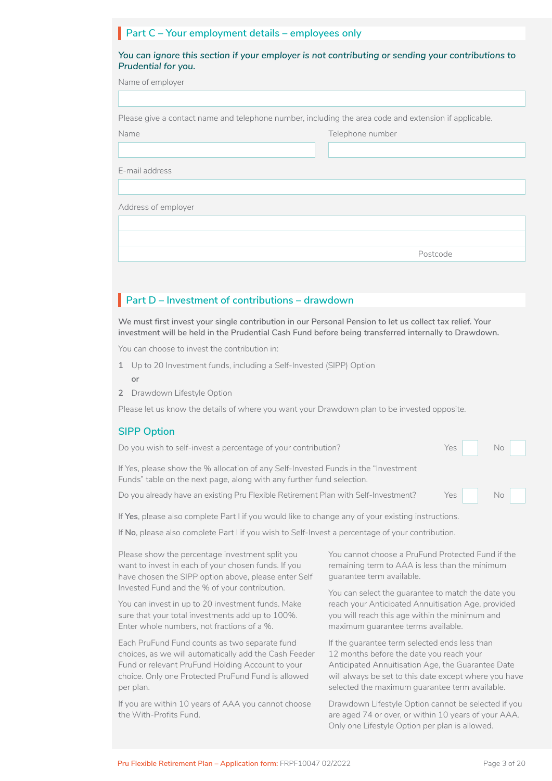# **Part C – Your employment details – employees only**

Name Telephone number

| You can ignore this section if your employer is not contributing or sending your contributions to |  |
|---------------------------------------------------------------------------------------------------|--|
| Prudential for you.                                                                               |  |

| Name of employer |  |  |  |
|------------------|--|--|--|
|------------------|--|--|--|

| Please give a contact name and telephone number, including the area code and extension if applicable. |  |
|-------------------------------------------------------------------------------------------------------|--|
|                                                                                                       |  |

E-mail address

Address of employer

Postcode

# **Part D – Investment of contributions – drawdown**

**We must first invest your single contribution in our Personal Pension to let us collect tax relief. Your investment will be held in the Prudential Cash Fund before being transferred internally to Drawdown.**

You can choose to invest the contribution in:

- **1** Up to 20 Investment funds, including a Self-Invested (SIPP) Option **or**
- **2** Drawdown Lifestyle Option

Please let us know the details of where you want your Drawdown plan to be invested opposite.

#### **SIPP Option**

| Do you wish to self-invest a percentage of your contribution?                                                                                                | Yes No |
|--------------------------------------------------------------------------------------------------------------------------------------------------------------|--------|
| If Yes, please show the % allocation of any Self-Invested Funds in the "Investment"<br>Funds" table on the next page, along with any further fund selection. |        |
| Do you already have an existing Pru Flexible Retirement Plan with Self-Investment?                                                                           | Yes No |

If **Yes**, please also complete Part I if you would like to change any of your existing instructions.

If **No**, please also complete Part I if you wish to Self-Invest a percentage of your contribution.

Please show the percentage investment split you want to invest in each of your chosen funds. If you have chosen the SIPP option above, please enter Self Invested Fund and the % of your contribution.

You can invest in up to 20 investment funds. Make sure that your total investments add up to 100%. Enter whole numbers, not fractions of a %.

Each PruFund Fund counts as two separate fund choices, as we will automatically add the Cash Feeder Fund or relevant PruFund Holding Account to your choice. Only one Protected PruFund Fund is allowed per plan.

If you are within 10 years of AAA you cannot choose the With-Profits Fund.

You cannot choose a PruFund Protected Fund if the remaining term to AAA is less than the minimum guarantee term available.

You can select the guarantee to match the date you reach your Anticipated Annuitisation Age, provided you will reach this age within the minimum and maximum guarantee terms available.

If the guarantee term selected ends less than 12 months before the date you reach your Anticipated Annuitisation Age, the Guarantee Date will always be set to this date except where you have selected the maximum guarantee term available.

Drawdown Lifestyle Option cannot be selected if you are aged 74 or over, or within 10 years of your AAA. Only one Lifestyle Option per plan is allowed.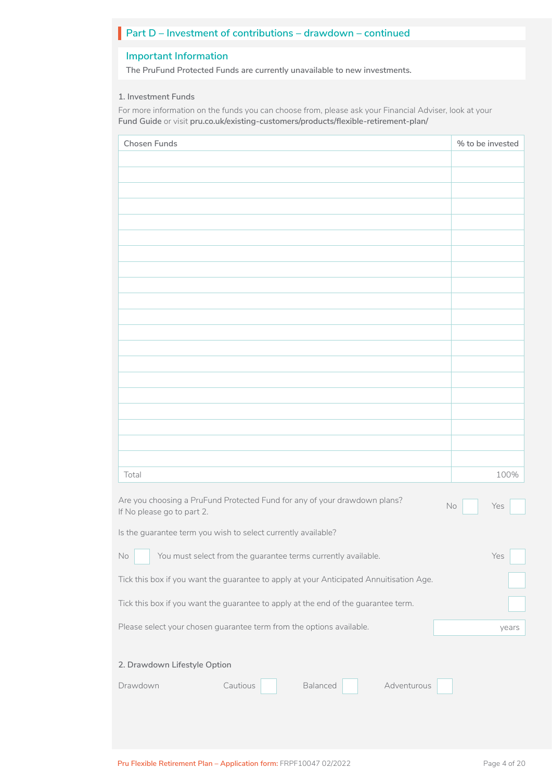# **Part D – Investment of contributions – drawdown – continued**

### **Important Information**

**The PruFund Protected Funds are currently unavailable to new investments.**

#### **1. Investment Funds**

For more information on the funds you can choose from, please ask your Financial Adviser, look at your **Fund Guide** or visit **[pru.co.uk/existing-customers/products/flexible-retirement-plan/](https://www.pru.co.uk/existing-customers/products/flexible-retirement-plan/)**

| Chosen Funds                                                                                                                                                                                                                                                                                                | % to be invested |
|-------------------------------------------------------------------------------------------------------------------------------------------------------------------------------------------------------------------------------------------------------------------------------------------------------------|------------------|
|                                                                                                                                                                                                                                                                                                             |                  |
|                                                                                                                                                                                                                                                                                                             |                  |
|                                                                                                                                                                                                                                                                                                             |                  |
|                                                                                                                                                                                                                                                                                                             |                  |
|                                                                                                                                                                                                                                                                                                             |                  |
|                                                                                                                                                                                                                                                                                                             |                  |
|                                                                                                                                                                                                                                                                                                             |                  |
|                                                                                                                                                                                                                                                                                                             |                  |
|                                                                                                                                                                                                                                                                                                             |                  |
|                                                                                                                                                                                                                                                                                                             |                  |
|                                                                                                                                                                                                                                                                                                             |                  |
|                                                                                                                                                                                                                                                                                                             |                  |
|                                                                                                                                                                                                                                                                                                             |                  |
|                                                                                                                                                                                                                                                                                                             |                  |
|                                                                                                                                                                                                                                                                                                             |                  |
|                                                                                                                                                                                                                                                                                                             |                  |
|                                                                                                                                                                                                                                                                                                             |                  |
|                                                                                                                                                                                                                                                                                                             |                  |
| Total                                                                                                                                                                                                                                                                                                       | 100%             |
| Are you choosing a PruFund Protected Fund for any of your drawdown plans?<br>If No please go to part 2.                                                                                                                                                                                                     | No<br>Yes        |
| Is the guarantee term you wish to select currently available?                                                                                                                                                                                                                                               |                  |
| <u>and the state of the state of the state of the state of the state of the state of the state of the state of the state of the state of the state of the state of the state of the state of the state of the state of the state</u><br>You must select from the guarantee terms currently available.<br>No | Yes              |
| Tick this box if you want the guarantee to apply at your Anticipated Annuitisation Age.                                                                                                                                                                                                                     |                  |
| Tick this box if you want the guarantee to apply at the end of the guarantee term.                                                                                                                                                                                                                          |                  |
| Please select your chosen guarantee term from the options available.                                                                                                                                                                                                                                        | years            |
| 2. Drawdown Lifestyle Option                                                                                                                                                                                                                                                                                |                  |
|                                                                                                                                                                                                                                                                                                             |                  |
| Adventurous<br>Cautious<br>Balanced<br>Drawdown                                                                                                                                                                                                                                                             |                  |
|                                                                                                                                                                                                                                                                                                             |                  |
|                                                                                                                                                                                                                                                                                                             |                  |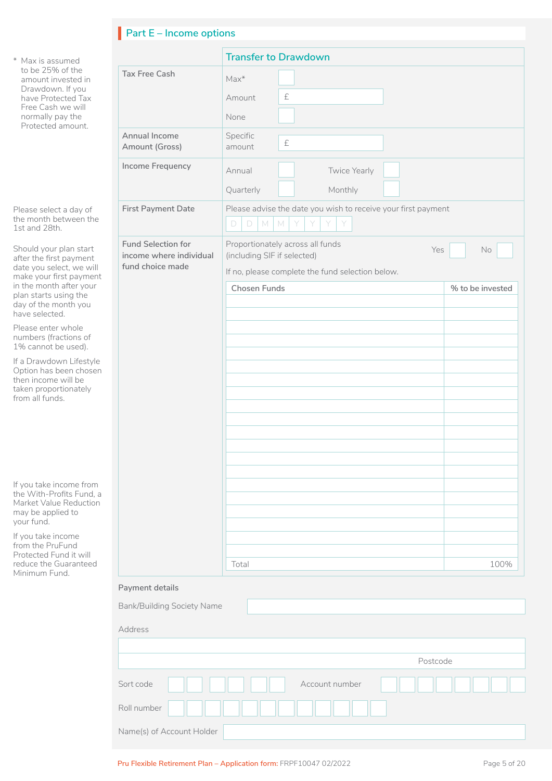# **Part E – Income options**

|                   | * Max is assumed                                                                                                     |                                                      | <b>Transfer to Dra</b>                     |
|-------------------|----------------------------------------------------------------------------------------------------------------------|------------------------------------------------------|--------------------------------------------|
| Free Cash we will | to be 25% of the<br>amount invested in                                                                               | <b>Tax Free Cash</b>                                 | $Max^*$                                    |
|                   | Drawdown. If you<br>have Protected Tax                                                                               |                                                      | £<br>Amount                                |
|                   | normally pay the<br>Protected amount.                                                                                |                                                      | None                                       |
|                   |                                                                                                                      | Annual Income<br>Amount (Gross)                      | Specific<br>£<br>amount                    |
|                   |                                                                                                                      | Income Frequency                                     | Annual                                     |
|                   |                                                                                                                      |                                                      | Quarterly                                  |
|                   | Please select a day of<br>the month between the<br>1st and 28th.                                                     | <b>First Payment Date</b>                            | Please advise the<br>M<br>M<br>D<br>D      |
|                   | Should your plan start<br>after the first payment                                                                    | <b>Fund Selection for</b><br>income where individual | Proportionately ac<br>(including SIF if se |
|                   | date you select, we will<br>make your first payment                                                                  | fund choice made                                     | If no, please compl                        |
|                   | in the month after your<br>plan starts using the                                                                     |                                                      | <b>Chosen Funds</b>                        |
|                   | day of the month you<br>have selected.                                                                               |                                                      |                                            |
|                   | Please enter whole<br>numbers (fractions of<br>1% cannot be used).                                                   |                                                      |                                            |
|                   | If a Drawdown Lifestyle<br>Option has been chosen<br>then income will be<br>taken proportionately<br>from all funds. |                                                      |                                            |
|                   |                                                                                                                      |                                                      |                                            |
|                   |                                                                                                                      |                                                      |                                            |
|                   | If you take income from<br>the With-Profits Fund, a<br>Market Value Reduction<br>may be applied to<br>your fund.     |                                                      |                                            |
|                   | If you take income                                                                                                   |                                                      |                                            |
|                   | from the PruFund<br>Protected Fund it will<br>reduce the Guaranteed                                                  |                                                      | Total                                      |
|                   | Minimum Fund.                                                                                                        |                                                      |                                            |
|                   |                                                                                                                      | Payment details                                      |                                            |
|                   |                                                                                                                      | <b>Bank/Building Society Name</b>                    |                                            |
|                   |                                                                                                                      | Address                                              |                                            |
|                   |                                                                                                                      |                                                      |                                            |
|                   |                                                                                                                      | Sort code                                            |                                            |
|                   |                                                                                                                      |                                                      |                                            |

|                                                                   | <b>Transfer to Drawdown</b>                                                                                                                |                                   |
|-------------------------------------------------------------------|--------------------------------------------------------------------------------------------------------------------------------------------|-----------------------------------|
| <b>Tax Free Cash</b>                                              | $Max*$<br>$\pounds$<br>Amount<br>None                                                                                                      |                                   |
| Annual Income<br>Amount (Gross)                                   | Specific<br>$\pounds$<br>amount                                                                                                            |                                   |
| Income Frequency                                                  | Annual<br>Twice Yearly<br>Quarterly<br>Monthly                                                                                             |                                   |
| <b>First Payment Date</b>                                         | Please advise the date you wish to receive your first payment<br>$\Box$<br>$\mathbb M$<br>$\mathsf{M}$<br>$\Box$                           |                                   |
| Fund Selection for<br>income where individual<br>fund choice made | Proportionately across all funds<br>Yes<br>(including SIF if selected)<br>If no, please complete the fund selection below.<br>Chosen Funds | $\mathsf{No}$<br>% to be invested |
|                                                                   | Total                                                                                                                                      | 100%                              |
| ayment details                                                    |                                                                                                                                            |                                   |

| Address                     |
|-----------------------------|
|                             |
| Postcode                    |
| Account number<br>Sort code |
| Roll number                 |
| Name(s) of Account Holder   |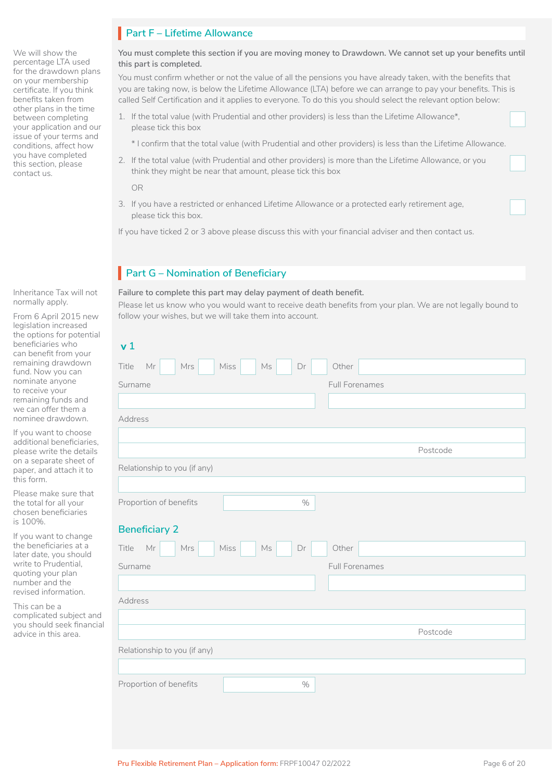We will show the percentage LTA used for the drawdown plans on your membership certificate. If you think benefits taken from other plans in the time between completing your application and our issue of your terms and conditions, affect how you have completed this section, please contact us.

Inheritance Tax will not normally apply.

From 6 April 2015 new legislation increased the options for potential beneficiaries who can benefit from your remaining drawdown fund. Now you can nominate anyone to receive your remaining funds and we can offer them a nominee drawdown.

If you want to choose additional beneficiaries, please write the details on a separate sheet of paper, and attach it to this form.

Please make sure that the total for all your chosen beneficiaries is 100%.

If you want to change the beneficiaries at a later date, you should write to Prudential, quoting your plan number and the revised information.

This can be a complicated subject and you should seek financial advice in this area.

# **Part F – Lifetime Allowance**

**You must complete this section if you are moving money to Drawdown. We cannot set up your benefits until this part is completed.**

You must confirm whether or not the value of all the pensions you have already taken, with the benefits that you are taking now, is below the Lifetime Allowance (LTA) before we can arrange to pay your benefits. This is called Self Certification and it applies to everyone. To do this you should select the relevant option below:

- 1. If the total value (with Prudential and other providers) is less than the Lifetime Allowance\*, please tick this box
	- \* I confirm that the total value (with Prudential and other providers) is less than the Lifetime Allowance.
- 2. If the total value (with Prudential and other providers) is more than the Lifetime Allowance, or you think they might be near that amount, please tick this box

OR

3. If you have a restricted or enhanced Lifetime Allowance or a protected early retirement age, please tick this box.

If you have ticked 2 or 3 above please discuss this with your financial adviser and then contact us.

# **Part G – Nomination of Beneficiary**

**Failure to complete this part may delay payment of death benefit.**

Please let us know who you would want to receive death benefits from your plan. We are not legally bound to follow your wishes, but we will take them into account.

| v <sub>1</sub>                                                         |                |
|------------------------------------------------------------------------|----------------|
| $\mathsf{Mr}$<br>Mrs<br>Miss<br>$\mathbb{M}\mathsf{s}$<br>Title<br>Dr  | Other          |
| Surname                                                                | Full Forenames |
|                                                                        |                |
| Address                                                                |                |
|                                                                        |                |
|                                                                        | Postcode       |
| Relationship to you (if any)                                           |                |
|                                                                        |                |
| Proportion of benefits<br>$\%$                                         |                |
| <b>Beneficiary 2</b>                                                   |                |
| Miss<br>Title<br>$\mathsf{Mr}$<br>Mrs<br>$\mathrel{\mathsf{Ms}}$<br>Dr | Other          |
| Surname                                                                | Full Forenames |
|                                                                        |                |
| Address                                                                |                |
|                                                                        |                |
|                                                                        | Postcode       |
| Relationship to you (if any)                                           |                |
|                                                                        |                |
| Proportion of benefits<br>$\%$                                         |                |
|                                                                        |                |

LJ

 $\Box$ 

LJ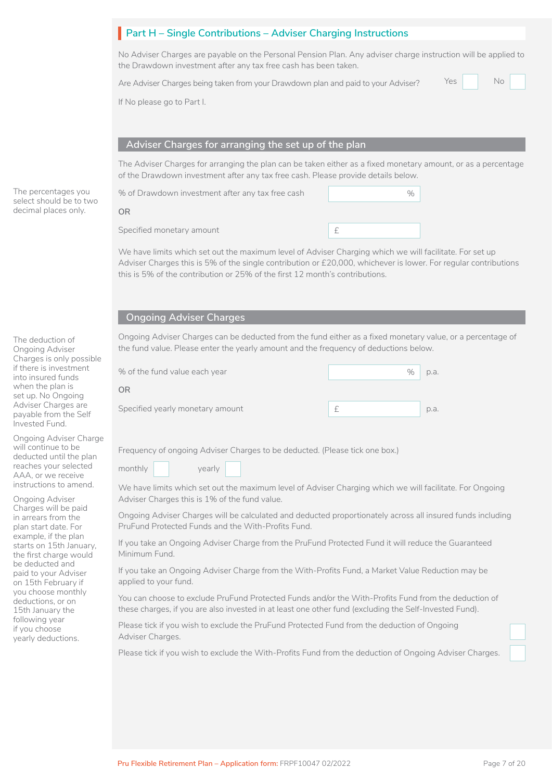# **Part H – Single Contributions – Adviser Charging Instructions**

No Adviser Charges are payable on the Personal Pension Plan. Any adviser charge instruction will be applied to the Drawdown investment after any tax free cash has been taken.

Are Adviser Charges being taken from your Drawdown plan and paid to your Adviser? Yes No

No <u>Die Stadt van die Stadt van die Barton van die Barton van die Barton van die Barton van die Barton van die </u>

If No please go to Part I.

#### **Adviser Charges for arranging the set up of the plan**

The Adviser Charges for arranging the plan can be taken either as a fixed monetary amount, or as a percentage of the Drawdown investment after any tax free cash. Please provide details below.

Specified monetary amount **EXECUTE:** % of Drawdown investment after any tax free cash % **OR**

We have limits which set out the maximum level of Adviser Charging which we will facilitate. For set up Adviser Charges this is 5% of the single contribution or £20,000, whichever is lower. For regular contributions this is 5% of the contribution or 25% of the first 12 month's contributions.

#### **Ongoing Adviser Charges**

Ongoing Adviser Charges can be deducted from the fund either as a fixed monetary value, or a percentage of the fund value. Please enter the yearly amount and the frequency of deductions below.

| % of the fund value each year    | $\%$ | p.a. |
|----------------------------------|------|------|
| OR                               |      |      |
| Specified yearly monetary amount |      | p.a. |

Frequency of ongoing Adviser Charges to be deducted. (Please tick one box.)

monthly yearly

We have limits which set out the maximum level of Adviser Charging which we will facilitate. For Ongoing Adviser Charges this is 1% of the fund value.

Ongoing Adviser Charges will be calculated and deducted proportionately across all insured funds including PruFund Protected Funds and the With-Profits Fund.

If you take an Ongoing Adviser Charge from the PruFund Protected Fund it will reduce the Guaranteed Minimum Fund.

If you take an Ongoing Adviser Charge from the With-Profits Fund, a Market Value Reduction may be applied to your fund.

You can choose to exclude PruFund Protected Funds and/or the With-Profits Fund from the deduction of these charges, if you are also invested in at least one other fund (excluding the Self-Invested Fund).

Please tick if you wish to exclude the PruFund Protected Fund from the deduction of Ongoing Adviser Charges.

Please tick if you wish to exclude the With-Profits Fund from the deduction of Ongoing Adviser Charges.

The deduction of Ongoing Adviser Charges is only possible if there is investment into insured funds when the plan is set up. No Ongoing Adviser Charges are payable from the Self Invested Fund.

The percentages you select should be to two decimal places only.

Ongoing Adviser Charge will continue to be deducted until the plan reaches your selected AAA, or we receive instructions to amend.

Ongoing Adviser Charges will be paid in arrears from the plan start date. For example, if the plan starts on 15th January, the first charge would be deducted and paid to your Adviser on 15th February if you choose monthly deductions, or on 15th January the following year if you choose yearly deductions.

 $\Box$ 

□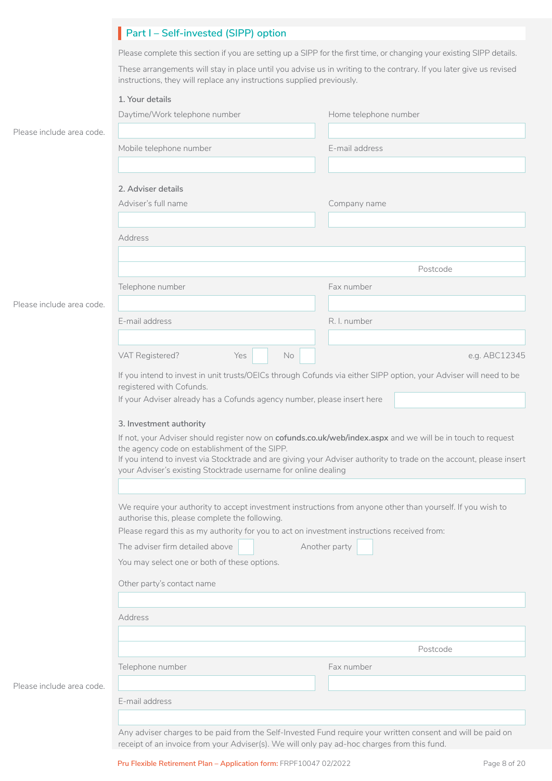|                           | Part I - Self-invested (SIPP) option                                                                                                                                 |                                                                                                                    |  |  |
|---------------------------|----------------------------------------------------------------------------------------------------------------------------------------------------------------------|--------------------------------------------------------------------------------------------------------------------|--|--|
|                           | Please complete this section if you are setting up a SIPP for the first time, or changing your existing SIPP details.                                                |                                                                                                                    |  |  |
|                           | instructions, they will replace any instructions supplied previously.                                                                                                | These arrangements will stay in place until you advise us in writing to the contrary. If you later give us revised |  |  |
|                           | 1. Your details                                                                                                                                                      |                                                                                                                    |  |  |
|                           | Daytime/Work telephone number                                                                                                                                        | Home telephone number                                                                                              |  |  |
| Please include area code. |                                                                                                                                                                      |                                                                                                                    |  |  |
|                           |                                                                                                                                                                      |                                                                                                                    |  |  |
|                           | Mobile telephone number                                                                                                                                              | E-mail address                                                                                                     |  |  |
|                           | 2. Adviser details                                                                                                                                                   |                                                                                                                    |  |  |
|                           | Adviser's full name                                                                                                                                                  | Company name                                                                                                       |  |  |
|                           |                                                                                                                                                                      |                                                                                                                    |  |  |
|                           | Address                                                                                                                                                              |                                                                                                                    |  |  |
|                           |                                                                                                                                                                      | Postcode                                                                                                           |  |  |
|                           |                                                                                                                                                                      |                                                                                                                    |  |  |
|                           | Telephone number                                                                                                                                                     | Fax number                                                                                                         |  |  |
| Please include area code. |                                                                                                                                                                      |                                                                                                                    |  |  |
|                           | E-mail address                                                                                                                                                       | R. I. number                                                                                                       |  |  |
|                           |                                                                                                                                                                      |                                                                                                                    |  |  |
|                           | VAT Registered?<br>Yes<br>No                                                                                                                                         | e.g. ABC12345                                                                                                      |  |  |
|                           | If you intend to invest in unit trusts/OEICs through Cofunds via either SIPP option, your Adviser will need to be<br>registered with Cofunds.                        |                                                                                                                    |  |  |
|                           | If your Adviser already has a Cofunds agency number, please insert here                                                                                              |                                                                                                                    |  |  |
|                           |                                                                                                                                                                      |                                                                                                                    |  |  |
|                           | 3. Investment authority                                                                                                                                              |                                                                                                                    |  |  |
|                           |                                                                                                                                                                      | If not, your Adviser should register now on cofunds.co.uk/web/index.aspx and we will be in touch to request        |  |  |
|                           | the agency code on establishment of the SIPP.<br>If you intend to invest via Stocktrade and are giving your Adviser authority to trade on the account, please insert |                                                                                                                    |  |  |
|                           | your Adviser's existing Stocktrade username for online dealing                                                                                                       |                                                                                                                    |  |  |
|                           |                                                                                                                                                                      |                                                                                                                    |  |  |
|                           | We require your authority to accept investment instructions from anyone other than yourself. If you wish to                                                          |                                                                                                                    |  |  |
|                           | authorise this, please complete the following.                                                                                                                       |                                                                                                                    |  |  |
|                           | Please regard this as my authority for you to act on investment instructions received from:                                                                          |                                                                                                                    |  |  |
|                           | The adviser firm detailed above<br>Another party                                                                                                                     |                                                                                                                    |  |  |
|                           | You may select one or both of these options.                                                                                                                         |                                                                                                                    |  |  |
|                           | Other party's contact name                                                                                                                                           |                                                                                                                    |  |  |
|                           |                                                                                                                                                                      |                                                                                                                    |  |  |
|                           | Address                                                                                                                                                              |                                                                                                                    |  |  |
|                           |                                                                                                                                                                      |                                                                                                                    |  |  |
|                           | Postcode                                                                                                                                                             |                                                                                                                    |  |  |
|                           |                                                                                                                                                                      |                                                                                                                    |  |  |
|                           | Telephone number                                                                                                                                                     | Fax number                                                                                                         |  |  |
| Please include area code. |                                                                                                                                                                      |                                                                                                                    |  |  |
|                           | E-mail address                                                                                                                                                       |                                                                                                                    |  |  |
|                           |                                                                                                                                                                      |                                                                                                                    |  |  |
|                           |                                                                                                                                                                      | Any adviser charges to be paid from the Self-Invested Fund require your written consent and will be paid on        |  |  |
|                           | receipt of an invoice from your Adviser(s). We will only pay ad-hoc charges from this fund.                                                                          |                                                                                                                    |  |  |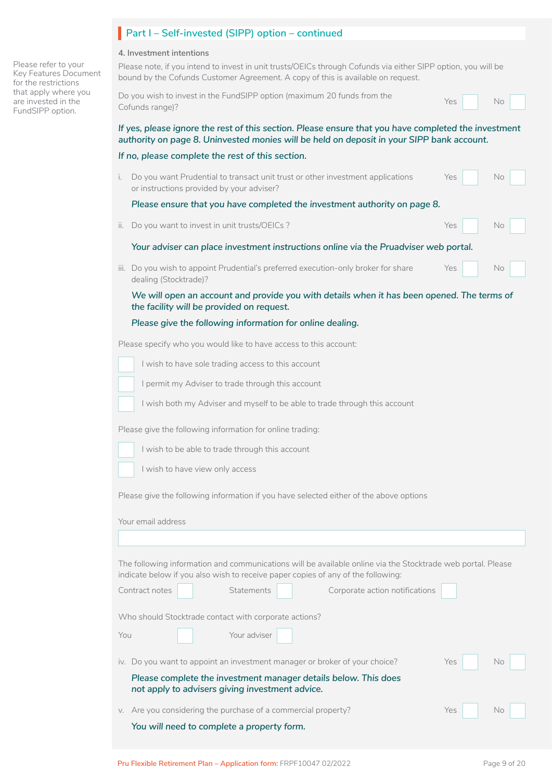#### **4. Investment intentions**

I

Please note, if you intend to invest in unit trusts/OEICs through Cofunds via either SIPP option, you will be bound by the Cofunds Customer Agreement. A copy of this is available on request.

| bound by the Columus Customer Agreement. A Copy or this is available on request.                                                                                                                  |            |
|---------------------------------------------------------------------------------------------------------------------------------------------------------------------------------------------------|------------|
| Do you wish to invest in the FundSIPP option (maximum 20 funds from the<br>Cofunds range)?                                                                                                        | Yes<br>No  |
| If yes, please ignore the rest of this section. Please ensure that you have completed the investment<br>authority on page 8. Uninvested monies will be held on deposit in your SIPP bank account. |            |
| If no, please complete the rest of this section.                                                                                                                                                  |            |
| Do you want Prudential to transact unit trust or other investment applications<br>i.<br>or instructions provided by your adviser?                                                                 | No<br>Yes  |
| Please ensure that you have completed the investment authority on page 8.                                                                                                                         |            |
| Do you want to invest in unit trusts/OEICs?<br>II.                                                                                                                                                | Yes<br>No. |
| Your adviser can place investment instructions online via the Pruadviser web portal.                                                                                                              |            |
| iii. Do you wish to appoint Prudential's preferred execution-only broker for share<br>dealing (Stocktrade)?                                                                                       | No<br>Yes  |
| We will open an account and provide you with details when it has been opened. The terms of<br>the facility will be provided on request.                                                           |            |
| Please give the following information for online dealing.                                                                                                                                         |            |
| Please specify who you would like to have access to this account:                                                                                                                                 |            |
| I wish to have sole trading access to this account                                                                                                                                                |            |
| I permit my Adviser to trade through this account                                                                                                                                                 |            |
| I wish both my Adviser and myself to be able to trade through this account                                                                                                                        |            |
| Please give the following information for online trading:                                                                                                                                         |            |
| I wish to be able to trade through this account                                                                                                                                                   |            |
| I wish to have view only access                                                                                                                                                                   |            |
|                                                                                                                                                                                                   |            |
|                                                                                                                                                                                                   |            |
| Please give the following information if you have selected either of the above options                                                                                                            |            |
| Your email address                                                                                                                                                                                |            |
|                                                                                                                                                                                                   |            |
|                                                                                                                                                                                                   |            |
| The following information and communications will be available online via the Stocktrade web portal. Please                                                                                       |            |
| indicate below if you also wish to receive paper copies of any of the following:<br>Contract notes<br>Statements<br>Corporate action notifications                                                |            |
|                                                                                                                                                                                                   |            |
| Who should Stocktrade contact with corporate actions?                                                                                                                                             |            |
| Your adviser<br>You                                                                                                                                                                               |            |
| iv. Do you want to appoint an investment manager or broker of your choice?                                                                                                                        | Yes<br>No  |
| Please complete the investment manager details below. This does<br>not apply to advisers giving investment advice.                                                                                |            |
| v. Are you considering the purchase of a commercial property?                                                                                                                                     | Yes<br>No  |

Please refer to your Key Features Document for the restrictions that apply where you are invested in the FundSIPP option.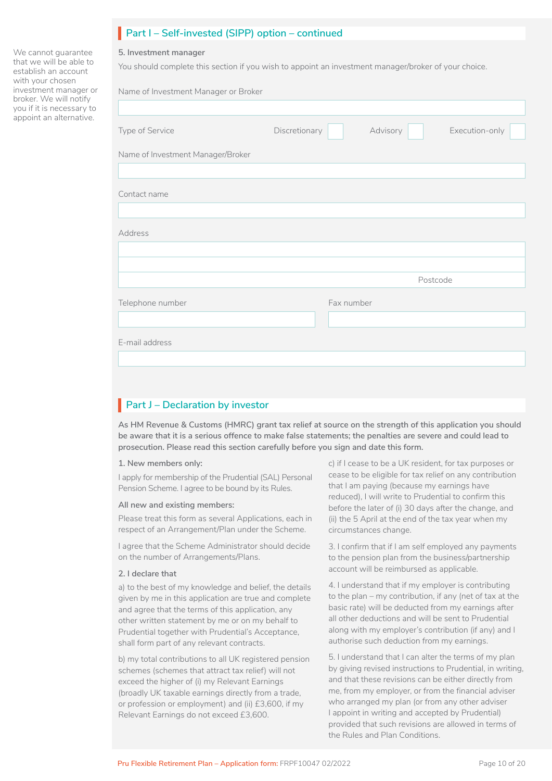# **Part I – Self-invested (SIPP) option – continued**

#### **5. Investment manager**

We cannot guarantee that we will be able to establish an account with your chosen investment manager or broker. We will notify you if it is necessary to appoint an alternative.

You should complete this section if you wish to appoint an investment manager/broker of your choice.

| Name of Investment Manager or Broker |               |            |          |          |                |
|--------------------------------------|---------------|------------|----------|----------|----------------|
| Type of Service                      | Discretionary |            | Advisory |          | Execution-only |
| Name of Investment Manager/Broker    |               |            |          |          |                |
| Contact name                         |               |            |          |          |                |
| Address                              |               |            |          |          |                |
|                                      |               |            |          |          |                |
|                                      |               |            |          | Postcode |                |
| Telephone number                     |               | Fax number |          |          |                |
|                                      |               |            |          |          |                |
| E-mail address                       |               |            |          |          |                |
|                                      |               |            |          |          |                |

# **Part J – Declaration by investor**

**As HM Revenue & Customs (HMRC) grant tax relief at source on the strength of this application you should be aware that it is a serious offence to make false statements; the penalties are severe and could lead to prosecution. Please read this section carefully before you sign and date this form.**

#### **1. New members only:**

I apply for membership of the Prudential (SAL) Personal Pension Scheme. I agree to be bound by its Rules.

#### **All new and existing members:**

Please treat this form as several Applications, each in respect of an Arrangement/Plan under the Scheme.

I agree that the Scheme Administrator should decide on the number of Arrangements/Plans.

#### **2. I declare that**

a) to the best of my knowledge and belief, the details given by me in this application are true and complete and agree that the terms of this application, any other written statement by me or on my behalf to Prudential together with Prudential's Acceptance, shall form part of any relevant contracts.

b) my total contributions to all UK registered pension schemes (schemes that attract tax relief) will not exceed the higher of (i) my Relevant Earnings (broadly UK taxable earnings directly from a trade, or profession or employment) and (ii) £3,600, if my Relevant Earnings do not exceed £3,600.

c) if I cease to be a UK resident, for tax purposes or cease to be eligible for tax relief on any contribution that I am paying (because my earnings have reduced), I will write to Prudential to confirm this before the later of (i) 30 days after the change, and (ii) the 5 April at the end of the tax year when my circumstances change.

3. I confirm that if I am self employed any payments to the pension plan from the business/partnership account will be reimbursed as applicable.

4. I understand that if my employer is contributing to the plan – my contribution, if any (net of tax at the basic rate) will be deducted from my earnings after all other deductions and will be sent to Prudential along with my employer's contribution (if any) and I authorise such deduction from my earnings.

5. I understand that I can alter the terms of my plan by giving revised instructions to Prudential, in writing, and that these revisions can be either directly from me, from my employer, or from the financial adviser who arranged my plan (or from any other adviser I appoint in writing and accepted by Prudential) provided that such revisions are allowed in terms of the Rules and Plan Conditions.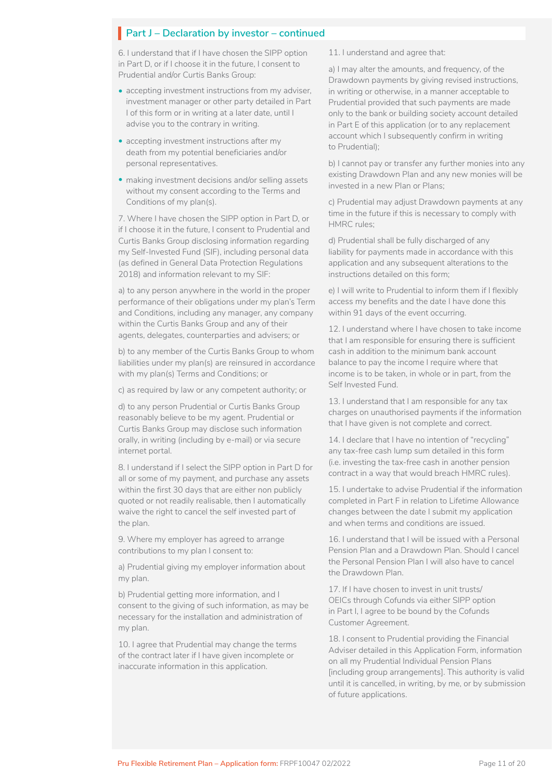6. I understand that if I have chosen the SIPP option in Part D, or if I choose it in the future, I consent to Prudential and/or Curtis Banks Group:

- accepting investment instructions from my adviser, investment manager or other party detailed in Part I of this form or in writing at a later date, until I advise you to the contrary in writing.
- accepting investment instructions after my death from my potential beneficiaries and/or personal representatives.
- making investment decisions and/or selling assets without my consent according to the Terms and Conditions of my plan(s).

7. Where I have chosen the SIPP option in Part D, or if I choose it in the future, I consent to Prudential and Curtis Banks Group disclosing information regarding my Self-Invested Fund (SIF), including personal data (as defined in General Data Protection Regulations 2018) and information relevant to my SIF:

a) to any person anywhere in the world in the proper performance of their obligations under my plan's Term and Conditions, including any manager, any company within the Curtis Banks Group and any of their agents, delegates, counterparties and advisers; or

b) to any member of the Curtis Banks Group to whom liabilities under my plan(s) are reinsured in accordance with my plan(s) Terms and Conditions; or

c) as required by law or any competent authority; or

d) to any person Prudential or Curtis Banks Group reasonably believe to be my agent. Prudential or Curtis Banks Group may disclose such information orally, in writing (including by e-mail) or via secure internet portal.

8. I understand if I select the SIPP option in Part D for all or some of my payment, and purchase any assets within the first 30 days that are either non publicly quoted or not readily realisable, then I automatically waive the right to cancel the self invested part of the plan.

9. Where my employer has agreed to arrange contributions to my plan I consent to:

a) Prudential giving my employer information about my plan.

b) Prudential getting more information, and I consent to the giving of such information, as may be necessary for the installation and administration of my plan.

10. I agree that Prudential may change the terms of the contract later if I have given incomplete or inaccurate information in this application.

11. I understand and agree that:

a) I may alter the amounts, and frequency, of the Drawdown payments by giving revised instructions, in writing or otherwise, in a manner acceptable to Prudential provided that such payments are made only to the bank or building society account detailed in Part E of this application (or to any replacement account which I subsequently confirm in writing to Prudential);

b) I cannot pay or transfer any further monies into any existing Drawdown Plan and any new monies will be invested in a new Plan or Plans;

c) Prudential may adjust Drawdown payments at any time in the future if this is necessary to comply with HMRC rules;

d) Prudential shall be fully discharged of any liability for payments made in accordance with this application and any subsequent alterations to the instructions detailed on this form;

e) I will write to Prudential to inform them if I flexibly access my benefits and the date I have done this within 91 days of the event occurring.

12. I understand where I have chosen to take income that I am responsible for ensuring there is sufficient cash in addition to the minimum bank account balance to pay the income I require where that income is to be taken, in whole or in part, from the Self Invested Fund.

13. I understand that I am responsible for any tax charges on unauthorised payments if the information that I have given is not complete and correct.

14. I declare that I have no intention of "recycling" any tax-free cash lump sum detailed in this form (i.e. investing the tax-free cash in another pension contract in a way that would breach HMRC rules).

15. I undertake to advise Prudential if the information completed in Part F in relation to Lifetime Allowance changes between the date I submit my application and when terms and conditions are issued.

16. I understand that I will be issued with a Personal Pension Plan and a Drawdown Plan. Should I cancel the Personal Pension Plan I will also have to cancel the Drawdown Plan.

17. If I have chosen to invest in unit trusts/ OEICs through Cofunds via either SIPP option in Part I, I agree to be bound by the Cofunds Customer Agreement.

18. I consent to Prudential providing the Financial Adviser detailed in this Application Form, information on all my Prudential Individual Pension Plans [including group arrangements]. This authority is valid until it is cancelled, in writing, by me, or by submission of future applications.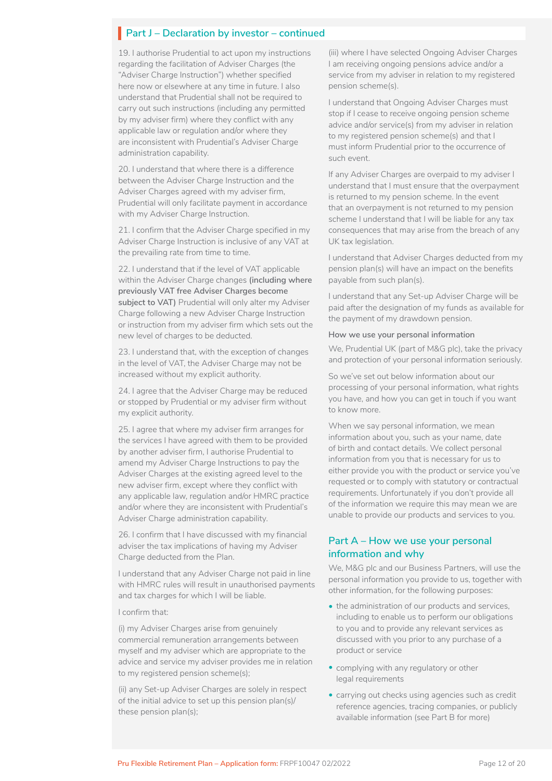19. I authorise Prudential to act upon my instructions regarding the facilitation of Adviser Charges (the "Adviser Charge Instruction") whether specified here now or elsewhere at any time in future. I also understand that Prudential shall not be required to carry out such instructions (including any permitted by my adviser firm) where they conflict with any applicable law or regulation and/or where they are inconsistent with Prudential's Adviser Charge administration capability.

20. I understand that where there is a difference between the Adviser Charge Instruction and the Adviser Charges agreed with my adviser firm, Prudential will only facilitate payment in accordance with my Adviser Charge Instruction.

21. I confirm that the Adviser Charge specified in my Adviser Charge Instruction is inclusive of any VAT at the prevailing rate from time to time.

22. I understand that if the level of VAT applicable within the Adviser Charge changes **(including where previously VAT free Adviser Charges become subject to VAT)** Prudential will only alter my Adviser Charge following a new Adviser Charge Instruction or instruction from my adviser firm which sets out the new level of charges to be deducted.

23. I understand that, with the exception of changes in the level of VAT, the Adviser Charge may not be increased without my explicit authority.

24. I agree that the Adviser Charge may be reduced or stopped by Prudential or my adviser firm without my explicit authority.

25. I agree that where my adviser firm arranges for the services I have agreed with them to be provided by another adviser firm, I authorise Prudential to amend my Adviser Charge Instructions to pay the Adviser Charges at the existing agreed level to the new adviser firm, except where they conflict with any applicable law, regulation and/or HMRC practice and/or where they are inconsistent with Prudential's Adviser Charge administration capability.

26. I confirm that I have discussed with my financial adviser the tax implications of having my Adviser Charge deducted from the Plan.

I understand that any Adviser Charge not paid in line with HMRC rules will result in unauthorised payments and tax charges for which I will be liable.

I confirm that:

(i) my Adviser Charges arise from genuinely commercial remuneration arrangements between myself and my adviser which are appropriate to the advice and service my adviser provides me in relation to my registered pension scheme(s);

(ii) any Set-up Adviser Charges are solely in respect of the initial advice to set up this pension plan(s)/ these pension plan(s);

(iii) where I have selected Ongoing Adviser Charges I am receiving ongoing pensions advice and/or a service from my adviser in relation to my registered pension scheme(s).

I understand that Ongoing Adviser Charges must stop if I cease to receive ongoing pension scheme advice and/or service(s) from my adviser in relation to my registered pension scheme(s) and that I must inform Prudential prior to the occurrence of such event.

If any Adviser Charges are overpaid to my adviser I understand that I must ensure that the overpayment is returned to my pension scheme. In the event that an overpayment is not returned to my pension scheme I understand that I will be liable for any tax consequences that may arise from the breach of any UK tax legislation.

I understand that Adviser Charges deducted from my pension plan(s) will have an impact on the benefits payable from such plan(s).

I understand that any Set-up Adviser Charge will be paid after the designation of my funds as available for the payment of my drawdown pension.

#### **How we use your personal information**

We, Prudential UK (part of M&G plc), take the privacy and protection of your personal information seriously.

So we've set out below information about our processing of your personal information, what rights you have, and how you can get in touch if you want to know more.

When we say personal information, we mean information about you, such as your name, date of birth and contact details. We collect personal information from you that is necessary for us to either provide you with the product or service you've requested or to comply with statutory or contractual requirements. Unfortunately if you don't provide all of the information we require this may mean we are unable to provide our products and services to you.

### **Part A – How we use your personal information and why**

We, M&G plc and our Business Partners, will use the personal information you provide to us, together with other information, for the following purposes:

- the administration of our products and services, including to enable us to perform our obligations to you and to provide any relevant services as discussed with you prior to any purchase of a product or service
- complying with any regulatory or other legal requirements
- carrying out checks using agencies such as credit reference agencies, tracing companies, or publicly available information (see Part B for more)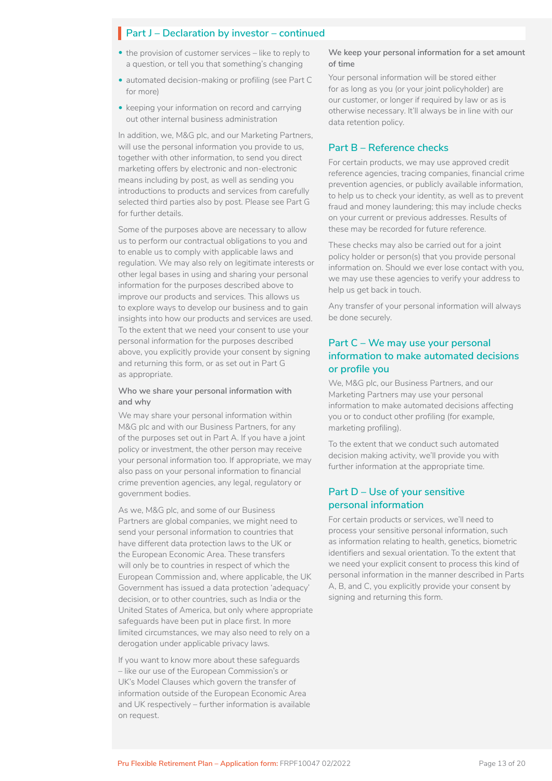- the provision of customer services like to reply to a question, or tell you that something's changing
- automated decision-making or profiling (see Part C for more)
- keeping your information on record and carrying out other internal business administration

In addition, we, M&G plc, and our Marketing Partners, will use the personal information you provide to us, together with other information, to send you direct marketing offers by electronic and non-electronic means including by post, as well as sending you introductions to products and services from carefully selected third parties also by post. Please see Part G for further details.

Some of the purposes above are necessary to allow us to perform our contractual obligations to you and to enable us to comply with applicable laws and regulation. We may also rely on legitimate interests or other legal bases in using and sharing your personal information for the purposes described above to improve our products and services. This allows us to explore ways to develop our business and to gain insights into how our products and services are used. To the extent that we need your consent to use your personal information for the purposes described above, you explicitly provide your consent by signing and returning this form, or as set out in Part G as appropriate.

#### **Who we share your personal information with and why**

We may share your personal information within M&G plc and with our Business Partners, for any of the purposes set out in Part A. If you have a joint policy or investment, the other person may receive your personal information too. If appropriate, we may also pass on your personal information to financial crime prevention agencies, any legal, regulatory or government bodies.

As we, M&G plc, and some of our Business Partners are global companies, we might need to send your personal information to countries that have different data protection laws to the UK or the European Economic Area. These transfers will only be to countries in respect of which the European Commission and, where applicable, the UK Government has issued a data protection 'adequacy' decision, or to other countries, such as India or the United States of America, but only where appropriate safeguards have been put in place first. In more limited circumstances, we may also need to rely on a derogation under applicable privacy laws.

If you want to know more about these safeguards – like our use of the European Commission's or UK's Model Clauses which govern the transfer of information outside of the European Economic Area and UK respectively – further information is available on request.

#### **We keep your personal information for a set amount of time**

Your personal information will be stored either for as long as you (or your joint policyholder) are our customer, or longer if required by law or as is otherwise necessary. It'll always be in line with our data retention policy.

#### **Part B – Reference checks**

For certain products, we may use approved credit reference agencies, tracing companies, financial crime prevention agencies, or publicly available information, to help us to check your identity, as well as to prevent fraud and money laundering; this may include checks on your current or previous addresses. Results of these may be recorded for future reference.

These checks may also be carried out for a joint policy holder or person(s) that you provide personal information on. Should we ever lose contact with you, we may use these agencies to verify your address to help us get back in touch.

Any transfer of your personal information will always be done securely.

### **Part C – We may use your personal information to make automated decisions or profile you**

We, M&G plc, our Business Partners, and our Marketing Partners may use your personal information to make automated decisions affecting you or to conduct other profiling (for example, marketing profiling).

To the extent that we conduct such automated decision making activity, we'll provide you with further information at the appropriate time.

### **Part D – Use of your sensitive personal information**

For certain products or services, we'll need to process your sensitive personal information, such as information relating to health, genetics, biometric identifiers and sexual orientation. To the extent that we need your explicit consent to process this kind of personal information in the manner described in Parts A, B, and C, you explicitly provide your consent by signing and returning this form.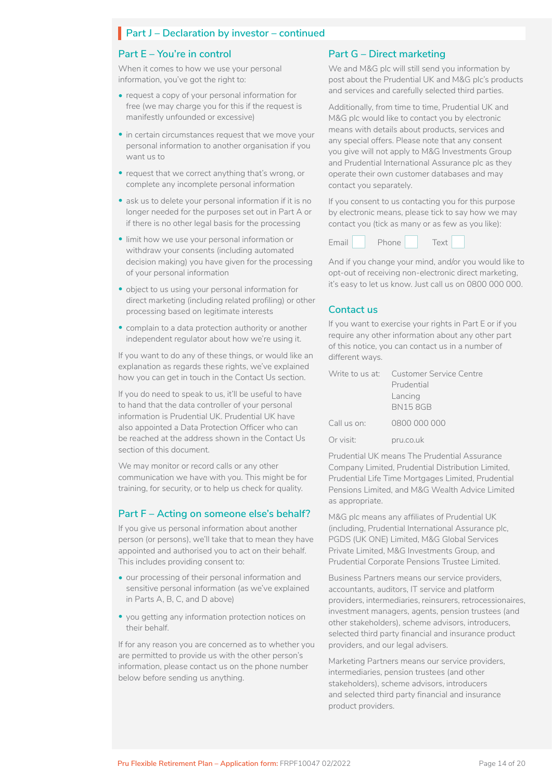#### **Part E – You're in control**

When it comes to how we use your personal information, you've got the right to:

- request a copy of your personal information for free (we may charge you for this if the request is manifestly unfounded or excessive)
- in certain circumstances request that we move your personal information to another organisation if you want us to
- request that we correct anything that's wrong, or complete any incomplete personal information
- ask us to delete your personal information if it is no longer needed for the purposes set out in Part A or if there is no other legal basis for the processing
- limit how we use your personal information or withdraw your consents (including automated decision making) you have given for the processing of your personal information
- object to us using your personal information for direct marketing (including related profiling) or other processing based on legitimate interests
- complain to a data protection authority or another independent regulator about how we're using it.

If you want to do any of these things, or would like an explanation as regards these rights, we've explained how you can get in touch in the Contact Us section.

If you do need to speak to us, it'll be useful to have to hand that the data controller of your personal information is Prudential UK. Prudential UK have also appointed a Data Protection Officer who can be reached at the address shown in the Contact Us section of this document.

We may monitor or record calls or any other communication we have with you. This might be for training, for security, or to help us check for quality.

#### **Part F – Acting on someone else's behalf?**

If you give us personal information about another person (or persons), we'll take that to mean they have appointed and authorised you to act on their behalf. This includes providing consent to:

- our processing of their personal information and sensitive personal information (as we've explained in Parts A, B, C, and D above)
- you getting any information protection notices on their behalf.

If for any reason you are concerned as to whether you are permitted to provide us with the other person's information, please contact us on the phone number below before sending us anything.

#### **Part G – Direct marketing**

We and M&G plc will still send you information by post about the Prudential UK and M&G plc's products and services and carefully selected third parties.

Additionally, from time to time, Prudential UK and M&G plc would like to contact you by electronic means with details about products, services and any special offers. Please note that any consent you give will not apply to M&G Investments Group and Prudential International Assurance plc as they operate their own customer databases and may contact you separately.

If you consent to us contacting you for this purpose by electronic means, please tick to say how we may contact you (tick as many or as few as you like):



And if you change your mind, and/or you would like to opt-out of receiving non-electronic direct marketing, it's easy to let us know. Just call us on 0800 000 000.

### **Contact us**

If you want to exercise your rights in Part E or if you require any other information about any other part of this notice, you can contact us in a number of different ways.

|             | Write to us at: Customer Service Centre |
|-------------|-----------------------------------------|
|             | Prudential                              |
|             | Lancing                                 |
|             | <b>BN158GB</b>                          |
| Call us on: | 0800 000 000                            |
| Or visit:   | pru.co.uk                               |

Prudential UK means The Prudential Assurance Company Limited, Prudential Distribution Limited, Prudential Life Time Mortgages Limited, Prudential Pensions Limited, and M&G Wealth Advice Limited as appropriate.

M&G plc means any affiliates of Prudential UK (including, Prudential International Assurance plc, PGDS (UK ONE) Limited, M&G Global Services Private Limited, M&G Investments Group, and Prudential Corporate Pensions Trustee Limited.

Business Partners means our service providers, accountants, auditors, IT service and platform providers, intermediaries, reinsurers, retrocessionaires, investment managers, agents, pension trustees (and other stakeholders), scheme advisors, introducers, selected third party financial and insurance product providers, and our legal advisers.

Marketing Partners means our service providers, intermediaries, pension trustees (and other stakeholders), scheme advisors, introducers and selected third party financial and insurance product providers.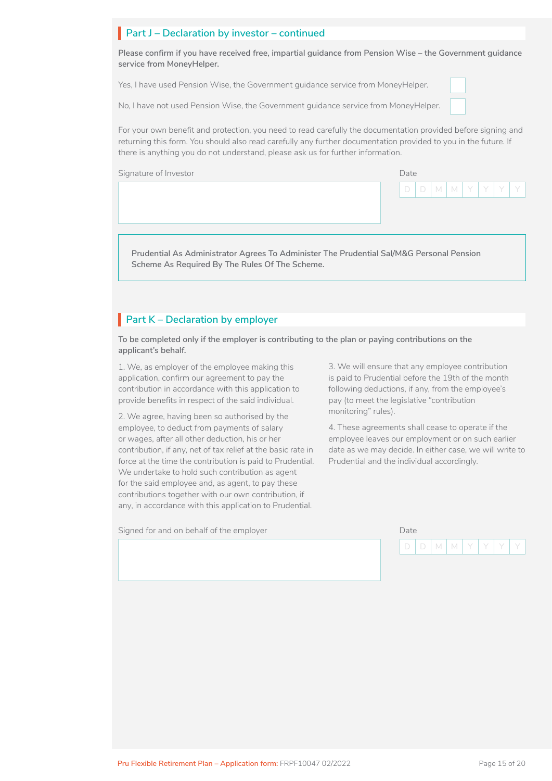**Please confirm if you have received free, impartial guidance from Pension Wise – the Government guidance service from MoneyHelper.**

Yes, I have used Pension Wise, the Government guidance service from MoneyHelper.

No, I have not used Pension Wise, the Government guidance service from MoneyHelper.

For your own benefit and protection, you need to read carefully the documentation provided before signing and returning this form. You should also read carefully any further documentation provided to you in the future. If there is anything you do not understand, please ask us for further information.

Signature of Investor Date and Date and Date Date and Date Date and Date Date and Date Date and Date Date and D

**Prudential As Administrator Agrees To Administer The Prudential Sal/M&G Personal Pension Scheme As Required By The Rules Of The Scheme.**

# **Part K – Declaration by employer**

**To be completed only if the employer is contributing to the plan or paying contributions on the applicant's behalf.**

1. We, as employer of the employee making this application, confirm our agreement to pay the contribution in accordance with this application to provide benefits in respect of the said individual.

2. We agree, having been so authorised by the employee, to deduct from payments of salary or wages, after all other deduction, his or her contribution, if any, net of tax relief at the basic rate in force at the time the contribution is paid to Prudential. We undertake to hold such contribution as agent for the said employee and, as agent, to pay these contributions together with our own contribution, if any, in accordance with this application to Prudential.

Signed for and on behalf of the employer Date Date Date Date

3. We will ensure that any employee contribution is paid to Prudential before the 19th of the month following deductions, if any, from the employee's pay (to meet the legislative "contribution monitoring" rules).

4. These agreements shall cease to operate if the employee leaves our employment or on such earlier date as we may decide. In either case, we will write to Prudential and the individual accordingly.



D | D | M | M | Y | Y | Y | Y

 $\Box$ 

□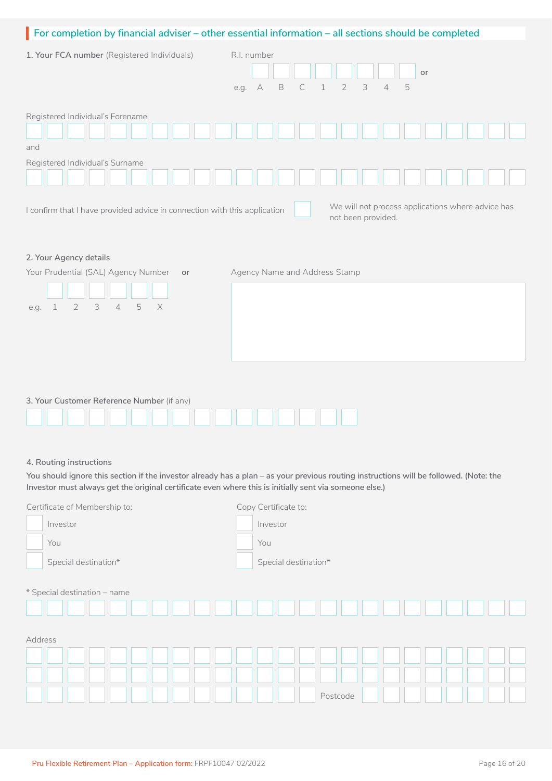|                                                                                     | For completion by financial adviser - other essential information - all sections should be completed |  |  |
|-------------------------------------------------------------------------------------|------------------------------------------------------------------------------------------------------|--|--|
| R.I. number<br>1. Your FCA number (Registered Individuals)                          |                                                                                                      |  |  |
|                                                                                     | or                                                                                                   |  |  |
|                                                                                     | $\overline{2}$<br>3<br>5<br>B<br>$\overline{4}$<br>e.g. A<br>С<br>$\mathbf 1$                        |  |  |
| Registered Individual's Forename                                                    |                                                                                                      |  |  |
| and                                                                                 |                                                                                                      |  |  |
| Registered Individual's Surname                                                     |                                                                                                      |  |  |
| 2. Your Agency details                                                              | not been provided.                                                                                   |  |  |
| Your Prudential (SAL) Agency Number<br>or                                           | Agency Name and Address Stamp                                                                        |  |  |
|                                                                                     |                                                                                                      |  |  |
| $\overline{2}$<br>3<br>$\mathbf 5$<br>$\times$<br>$\sqrt{4}$<br>$\mathbf 1$<br>e.g. |                                                                                                      |  |  |
|                                                                                     |                                                                                                      |  |  |
|                                                                                     |                                                                                                      |  |  |
|                                                                                     |                                                                                                      |  |  |
|                                                                                     |                                                                                                      |  |  |
| 3. Your Customer Reference Number (if any)                                          |                                                                                                      |  |  |

| <b>J. TOUT CUSTOMER INCRETENCE INQUIRER</b> (if ally) |  |
|-------------------------------------------------------|--|
|                                                       |  |
|                                                       |  |
|                                                       |  |

### **4. Routing instructions**

**You should ignore this section if the investor already has a plan – as your previous routing instructions will be followed. (Note: the Investor must always get the original certificate even where this is initially sent via someone else.)**

| Certificate of Membership to: | Copy Certificate to: |
|-------------------------------|----------------------|
| Investor                      | Investor             |
| You                           | You                  |
| Special destination*          | Special destination* |
| * Special destination - name  |                      |
| Address                       |                      |
|                               |                      |
|                               |                      |
|                               | Postcode             |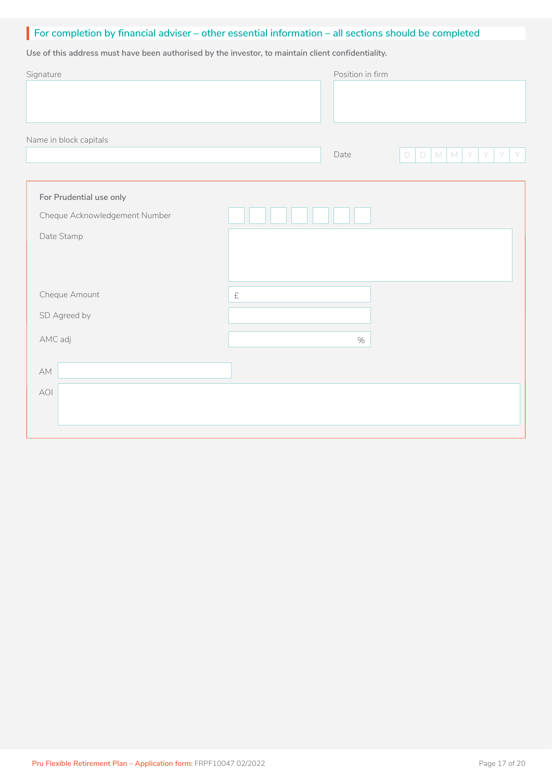# **For completion by financial adviser – other essential information – all sections should be completed** I

**Use of this address must have been authorised by the investor, to maintain client confidentiality.**

| Signature                     |                                           | Position in firm |                                           |
|-------------------------------|-------------------------------------------|------------------|-------------------------------------------|
|                               |                                           |                  |                                           |
| Name in block capitals        |                                           |                  |                                           |
|                               |                                           | Date             | $D$ $M$ $M$<br>$\Box$<br>Y<br>Y<br>Y<br>Y |
|                               |                                           |                  |                                           |
| For Prudential use only       |                                           |                  |                                           |
| Cheque Acknowledgement Number |                                           |                  |                                           |
| Date Stamp                    |                                           |                  |                                           |
|                               |                                           |                  |                                           |
|                               |                                           |                  |                                           |
| Cheque Amount                 | $\ensuremath{\mathop{\mathsf{E}}}\xspace$ |                  |                                           |
| SD Agreed by                  |                                           |                  |                                           |
| AMC adj                       |                                           | $\%$             |                                           |
|                               |                                           |                  |                                           |
| $\mathbb{A}\mathbb{M}$        |                                           |                  |                                           |
| AOI                           |                                           |                  |                                           |
|                               |                                           |                  |                                           |
|                               |                                           |                  |                                           |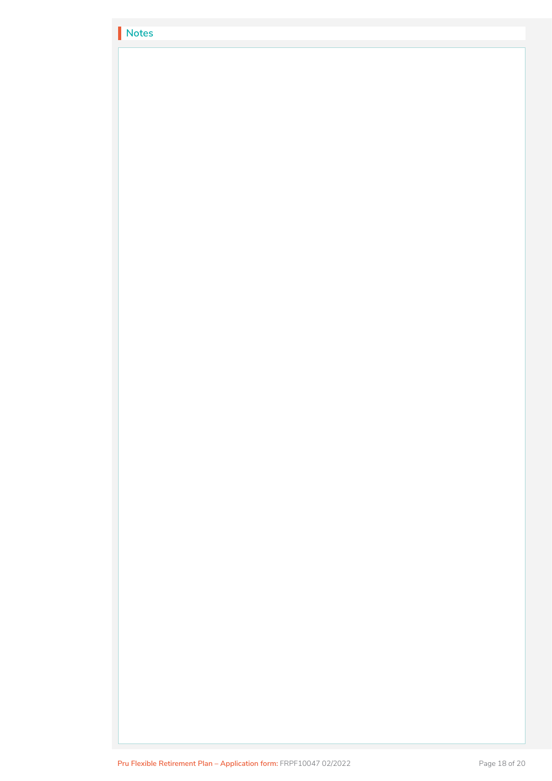| Notes |  |
|-------|--|
|       |  |
|       |  |
|       |  |
|       |  |
|       |  |
|       |  |
|       |  |
|       |  |
|       |  |
|       |  |
|       |  |
|       |  |
|       |  |
|       |  |
|       |  |
|       |  |
|       |  |
|       |  |
|       |  |
|       |  |
|       |  |
|       |  |
|       |  |
|       |  |
|       |  |
|       |  |